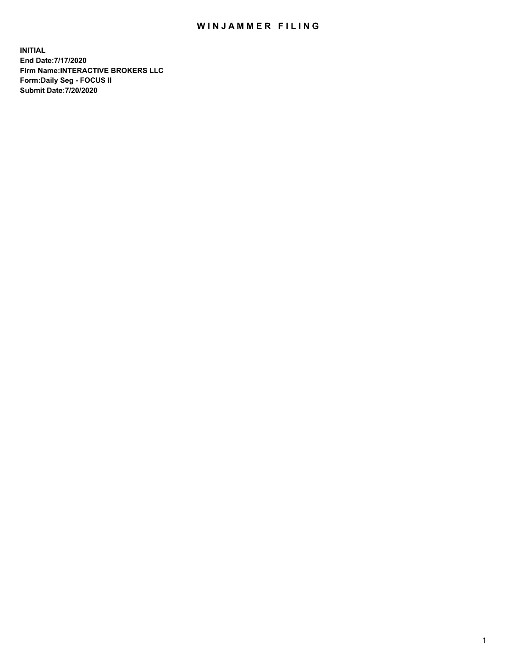## WIN JAMMER FILING

**INITIAL End Date:7/17/2020 Firm Name:INTERACTIVE BROKERS LLC Form:Daily Seg - FOCUS II Submit Date:7/20/2020**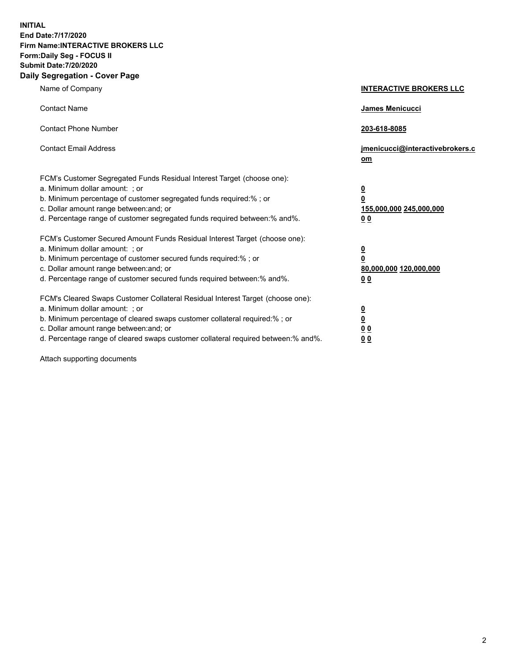**INITIAL End Date:7/17/2020 Firm Name:INTERACTIVE BROKERS LLC Form:Daily Seg - FOCUS II Submit Date:7/20/2020 Daily Segregation - Cover Page**

| Name of Company                                                                                                                                                                                                                                                                                                               | <b>INTERACTIVE BROKERS LLC</b>                                                                  |
|-------------------------------------------------------------------------------------------------------------------------------------------------------------------------------------------------------------------------------------------------------------------------------------------------------------------------------|-------------------------------------------------------------------------------------------------|
| <b>Contact Name</b>                                                                                                                                                                                                                                                                                                           | James Menicucci                                                                                 |
| <b>Contact Phone Number</b>                                                                                                                                                                                                                                                                                                   | 203-618-8085                                                                                    |
| <b>Contact Email Address</b>                                                                                                                                                                                                                                                                                                  | jmenicucci@interactivebrokers.c<br><u>om</u>                                                    |
| FCM's Customer Segregated Funds Residual Interest Target (choose one):<br>a. Minimum dollar amount: ; or<br>b. Minimum percentage of customer segregated funds required:% ; or<br>c. Dollar amount range between: and; or<br>d. Percentage range of customer segregated funds required between:% and%.                        | $\overline{\mathbf{0}}$<br>$\overline{\mathbf{0}}$<br>155,000,000 245,000,000<br>0 <sub>0</sub> |
| FCM's Customer Secured Amount Funds Residual Interest Target (choose one):<br>a. Minimum dollar amount: ; or<br>b. Minimum percentage of customer secured funds required:%; or<br>c. Dollar amount range between: and; or<br>d. Percentage range of customer secured funds required between:% and%.                           | $\overline{\mathbf{0}}$<br>$\overline{\mathbf{0}}$<br>80,000,000 120,000,000<br>0 <sub>0</sub>  |
| FCM's Cleared Swaps Customer Collateral Residual Interest Target (choose one):<br>a. Minimum dollar amount: ; or<br>b. Minimum percentage of cleared swaps customer collateral required:%; or<br>c. Dollar amount range between: and; or<br>d. Percentage range of cleared swaps customer collateral required between:% and%. | $\overline{\mathbf{0}}$<br>$\overline{\mathbf{0}}$<br>0 <sub>0</sub><br>0 <sub>0</sub>          |

Attach supporting documents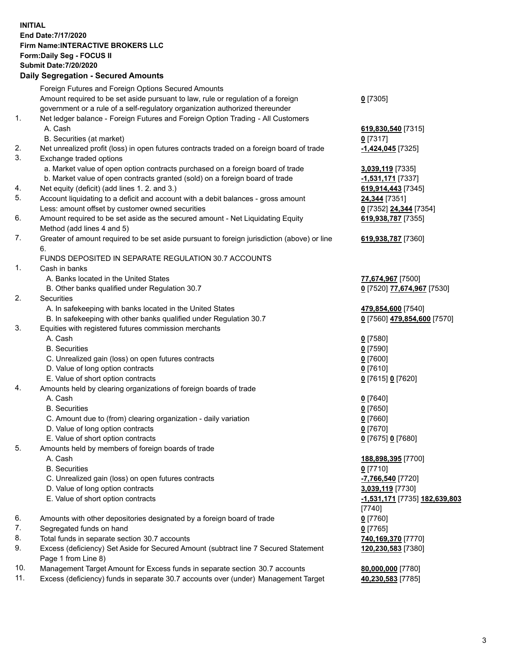**INITIAL End Date:7/17/2020 Firm Name:INTERACTIVE BROKERS LLC Form:Daily Seg - FOCUS II Submit Date:7/20/2020 Daily Segregation - Secured Amounts**

|                | Dany Ocgregation - Occarea Amounte                                                                         |                                             |
|----------------|------------------------------------------------------------------------------------------------------------|---------------------------------------------|
|                | Foreign Futures and Foreign Options Secured Amounts                                                        |                                             |
|                | Amount required to be set aside pursuant to law, rule or regulation of a foreign                           | $0$ [7305]                                  |
|                | government or a rule of a self-regulatory organization authorized thereunder                               |                                             |
| $\mathbf{1}$ . | Net ledger balance - Foreign Futures and Foreign Option Trading - All Customers                            |                                             |
|                | A. Cash                                                                                                    | 619,830,540 [7315]                          |
|                | B. Securities (at market)                                                                                  | $0$ [7317]                                  |
| 2.             | Net unrealized profit (loss) in open futures contracts traded on a foreign board of trade                  | -1,424,045 [7325]                           |
| 3.             | Exchange traded options                                                                                    |                                             |
|                | a. Market value of open option contracts purchased on a foreign board of trade                             | 3,039,119 [7335]                            |
|                | b. Market value of open contracts granted (sold) on a foreign board of trade                               | -1,531,171 [7337]                           |
| 4.             | Net equity (deficit) (add lines 1. 2. and 3.)                                                              | 619,914,443 [7345]                          |
| 5.             | Account liquidating to a deficit and account with a debit balances - gross amount                          | 24,344 [7351]                               |
|                | Less: amount offset by customer owned securities                                                           | 0 [7352] 24,344 [7354]                      |
| 6.             | Amount required to be set aside as the secured amount - Net Liquidating Equity                             | 619,938,787 [7355]                          |
|                | Method (add lines 4 and 5)                                                                                 |                                             |
| 7.             | Greater of amount required to be set aside pursuant to foreign jurisdiction (above) or line                | 619,938,787 [7360]                          |
|                | 6.                                                                                                         |                                             |
|                | FUNDS DEPOSITED IN SEPARATE REGULATION 30.7 ACCOUNTS                                                       |                                             |
| 1.             | Cash in banks                                                                                              |                                             |
|                | A. Banks located in the United States                                                                      | 77,674,967 [7500]                           |
|                | B. Other banks qualified under Regulation 30.7                                                             | 0 [7520] 77,674,967 [7530]                  |
| 2.             | Securities                                                                                                 |                                             |
|                | A. In safekeeping with banks located in the United States                                                  | 479,854,600 [7540]                          |
|                | B. In safekeeping with other banks qualified under Regulation 30.7                                         | 0 [7560] 479,854,600 [7570]                 |
| 3.             | Equities with registered futures commission merchants                                                      |                                             |
|                | A. Cash                                                                                                    | $0$ [7580]                                  |
|                | <b>B.</b> Securities                                                                                       | $0$ [7590]                                  |
|                | C. Unrealized gain (loss) on open futures contracts                                                        | $0$ [7600]                                  |
|                | D. Value of long option contracts                                                                          | $0$ [7610]                                  |
|                | E. Value of short option contracts                                                                         | 0 [7615] 0 [7620]                           |
| 4.             | Amounts held by clearing organizations of foreign boards of trade                                          |                                             |
|                | A. Cash                                                                                                    | $0$ [7640]                                  |
|                | <b>B.</b> Securities                                                                                       | $0$ [7650]                                  |
|                | C. Amount due to (from) clearing organization - daily variation                                            | $0$ [7660]                                  |
|                | D. Value of long option contracts                                                                          | $0$ [7670]                                  |
|                | E. Value of short option contracts                                                                         | 0 [7675] 0 [7680]                           |
| 5.             | Amounts held by members of foreign boards of trade                                                         |                                             |
|                | A. Cash                                                                                                    | 188,898,395 [7700]                          |
|                | <b>B.</b> Securities                                                                                       | $0$ [7710]                                  |
|                | C. Unrealized gain (loss) on open futures contracts                                                        | -7,766,540 [7720]                           |
|                | D. Value of long option contracts                                                                          | 3,039,119 [7730]                            |
|                | E. Value of short option contracts                                                                         | <u>-1,531,171</u> [7735] <u>182,639,803</u> |
|                |                                                                                                            | [7740]                                      |
| 6.             | Amounts with other depositories designated by a foreign board of trade                                     | $0$ [7760]                                  |
| 7.             | Segregated funds on hand                                                                                   | $0$ [7765]                                  |
| 8.             | Total funds in separate section 30.7 accounts                                                              | 740,169,370 [7770]                          |
| 9.             | Excess (deficiency) Set Aside for Secured Amount (subtract line 7 Secured Statement<br>Page 1 from Line 8) | 120,230,583 [7380]                          |
| 10.            | Management Target Amount for Excess funds in separate section 30.7 accounts                                | 80,000,000 [7780]                           |
| 11.            | Excess (deficiency) funds in separate 30.7 accounts over (under) Management Target                         | 40,230,583 [7785]                           |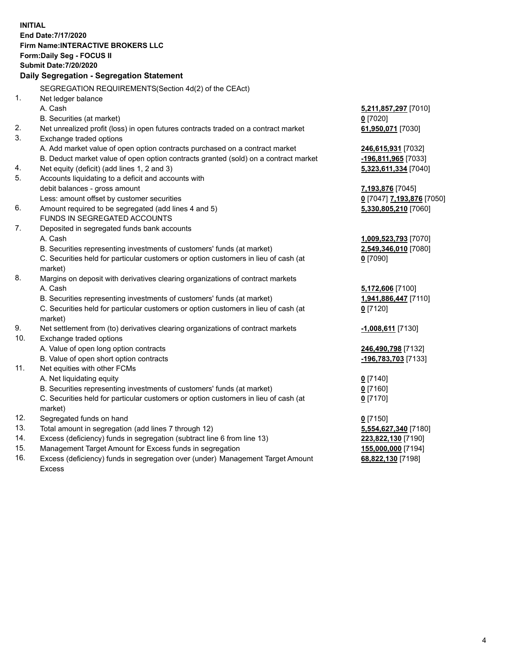**INITIAL End Date:7/17/2020 Firm Name:INTERACTIVE BROKERS LLC Form:Daily Seg - FOCUS II Submit Date:7/20/2020 Daily Segregation - Segregation Statement** SEGREGATION REQUIREMENTS(Section 4d(2) of the CEAct) 1. Net ledger balance A. Cash **5,211,857,297** [7010] B. Securities (at market) **0** [7020] 2. Net unrealized profit (loss) in open futures contracts traded on a contract market **61,950,071** [7030] 3. Exchange traded options A. Add market value of open option contracts purchased on a contract market **246,615,931** [7032] B. Deduct market value of open option contracts granted (sold) on a contract market **-196,811,965** [7033] 4. Net equity (deficit) (add lines 1, 2 and 3) **5,323,611,334** [7040] 5. Accounts liquidating to a deficit and accounts with debit balances - gross amount **7,193,876** [7045] Less: amount offset by customer securities **0** [7047] **7,193,876** [7050] 6. Amount required to be segregated (add lines 4 and 5) **5,330,805,210** [7060] FUNDS IN SEGREGATED ACCOUNTS 7. Deposited in segregated funds bank accounts A. Cash **1,009,523,793** [7070] B. Securities representing investments of customers' funds (at market) **2,549,346,010** [7080] C. Securities held for particular customers or option customers in lieu of cash (at market) **0** [7090] 8. Margins on deposit with derivatives clearing organizations of contract markets A. Cash **5,172,606** [7100] B. Securities representing investments of customers' funds (at market) **1,941,886,447** [7110] C. Securities held for particular customers or option customers in lieu of cash (at market) **0** [7120] 9. Net settlement from (to) derivatives clearing organizations of contract markets **-1,008,611** [7130] 10. Exchange traded options A. Value of open long option contracts **246,490,798** [7132] B. Value of open short option contracts **-196,783,703** [7133] 11. Net equities with other FCMs A. Net liquidating equity **0** [7140] B. Securities representing investments of customers' funds (at market) **0** [7160] C. Securities held for particular customers or option customers in lieu of cash (at market) **0** [7170] 12. Segregated funds on hand **0** [7150] 13. Total amount in segregation (add lines 7 through 12) **5,554,627,340** [7180] 14. Excess (deficiency) funds in segregation (subtract line 6 from line 13) **223,822,130** [7190] 15. Management Target Amount for Excess funds in segregation **155,000,000** [7194] 16. Excess (deficiency) funds in segregation over (under) Management Target Amount **68,822,130** [7198]

Excess